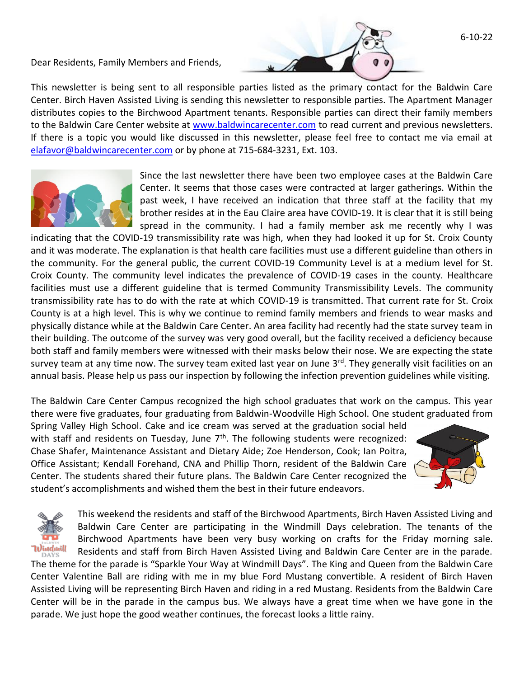Dear Residents, Family Members and Friends,

This newsletter is being sent to all responsible parties listed as the primary contact for the Baldwin Care Center. Birch Haven Assisted Living is sending this newsletter to responsible parties. The Apartment Manager distributes copies to the Birchwood Apartment tenants. Responsible parties can direct their family members to the Baldwin Care Center website at [www.baldwincarecenter.com](http://www.baldwincarecenter.com/) to read current and previous newsletters. If there is a topic you would like discussed in this newsletter, please feel free to contact me via email at [elafavor@baldwincarecenter.com](mailto:elafavor@baldwincarecenter.com) or by phone at 715-684-3231, Ext. 103.



Since the last newsletter there have been two employee cases at the Baldwin Care Center. It seems that those cases were contracted at larger gatherings. Within the past week, I have received an indication that three staff at the facility that my brother resides at in the Eau Claire area have COVID-19. It is clear that it is still being spread in the community. I had a family member ask me recently why I was

indicating that the COVID-19 transmissibility rate was high, when they had looked it up for St. Croix County and it was moderate. The explanation is that health care facilities must use a different guideline than others in the community. For the general public, the current COVID-19 Community Level is at a medium level for St. Croix County. The community level indicates the prevalence of COVID-19 cases in the county. Healthcare facilities must use a different guideline that is termed Community Transmissibility Levels. The community transmissibility rate has to do with the rate at which COVID-19 is transmitted. That current rate for St. Croix County is at a high level. This is why we continue to remind family members and friends to wear masks and physically distance while at the Baldwin Care Center. An area facility had recently had the state survey team in their building. The outcome of the survey was very good overall, but the facility received a deficiency because both staff and family members were witnessed with their masks below their nose. We are expecting the state survey team at any time now. The survey team exited last year on June 3<sup>rd</sup>. They generally visit facilities on an annual basis. Please help us pass our inspection by following the infection prevention guidelines while visiting.

The Baldwin Care Center Campus recognized the high school graduates that work on the campus. This year there were five graduates, four graduating from Baldwin-Woodville High School. One student graduated from

Spring Valley High School. Cake and ice cream was served at the graduation social held with staff and residents on Tuesday, June  $7<sup>th</sup>$ . The following students were recognized: Chase Shafer, Maintenance Assistant and Dietary Aide; Zoe Henderson, Cook; Ian Poitra, Office Assistant; Kendall Forehand, CNA and Phillip Thorn, resident of the Baldwin Care Center. The students shared their future plans. The Baldwin Care Center recognized the student's accomplishments and wished them the best in their future endeavors.



6-10-22



This weekend the residents and staff of the Birchwood Apartments, Birch Haven Assisted Living and Baldwin Care Center are participating in the Windmill Days celebration. The tenants of the Birchwood Apartments have been very busy working on crafts for the Friday morning sale. Residents and staff from Birch Haven Assisted Living and Baldwin Care Center are in the parade.

The theme for the parade is "Sparkle Your Way at Windmill Days". The King and Queen from the Baldwin Care Center Valentine Ball are riding with me in my blue Ford Mustang convertible. A resident of Birch Haven Assisted Living will be representing Birch Haven and riding in a red Mustang. Residents from the Baldwin Care Center will be in the parade in the campus bus. We always have a great time when we have gone in the parade. We just hope the good weather continues, the forecast looks a little rainy.